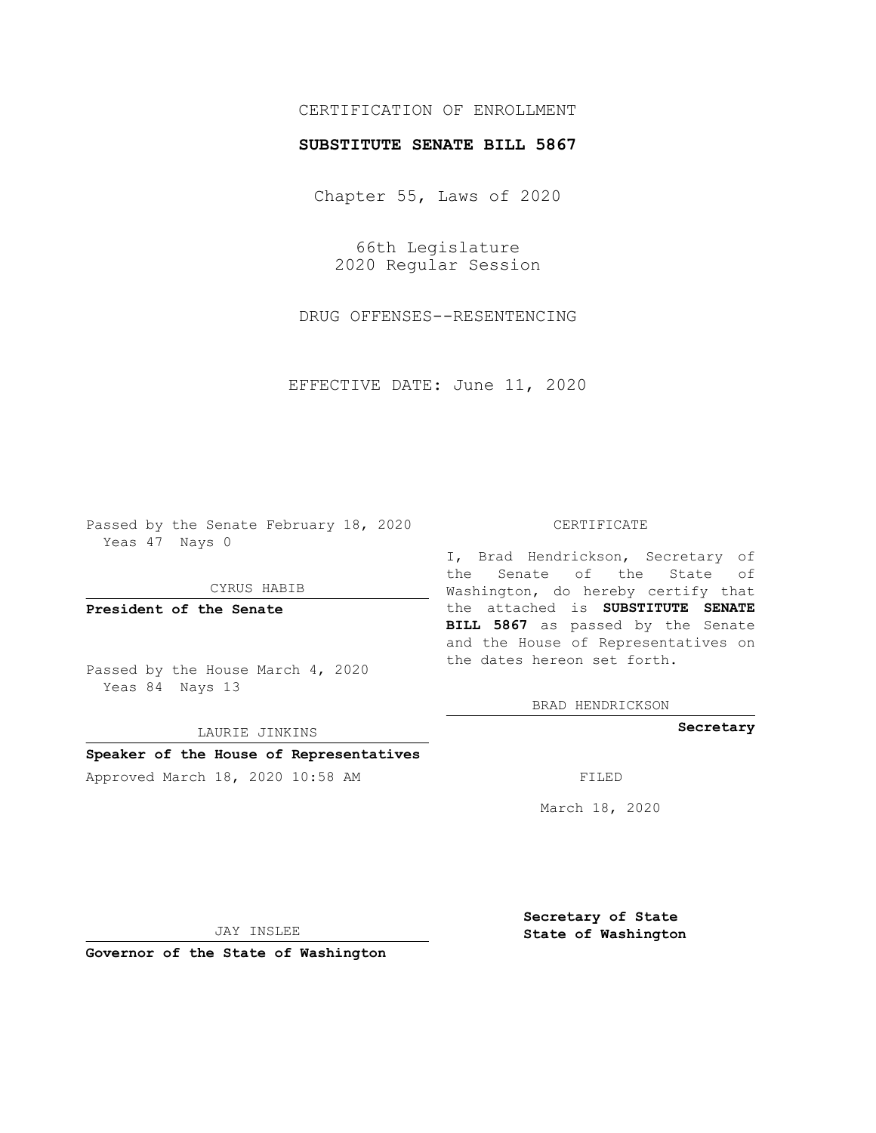## CERTIFICATION OF ENROLLMENT

## **SUBSTITUTE SENATE BILL 5867**

Chapter 55, Laws of 2020

66th Legislature 2020 Regular Session

DRUG OFFENSES--RESENTENCING

EFFECTIVE DATE: June 11, 2020

Passed by the Senate February 18, 2020 Yeas 47 Nays 0

CYRUS HABIB

**President of the Senate**

Passed by the House March 4, 2020 Yeas 84 Nays 13

LAURIE JINKINS

# **Speaker of the House of Representatives**

Approved March 18, 2020 10:58 AM FILED

#### CERTIFICATE

I, Brad Hendrickson, Secretary of the Senate of the State of Washington, do hereby certify that the attached is **SUBSTITUTE SENATE BILL 5867** as passed by the Senate and the House of Representatives on the dates hereon set forth.

BRAD HENDRICKSON

**Secretary**

March 18, 2020

JAY INSLEE

**Governor of the State of Washington**

**Secretary of State State of Washington**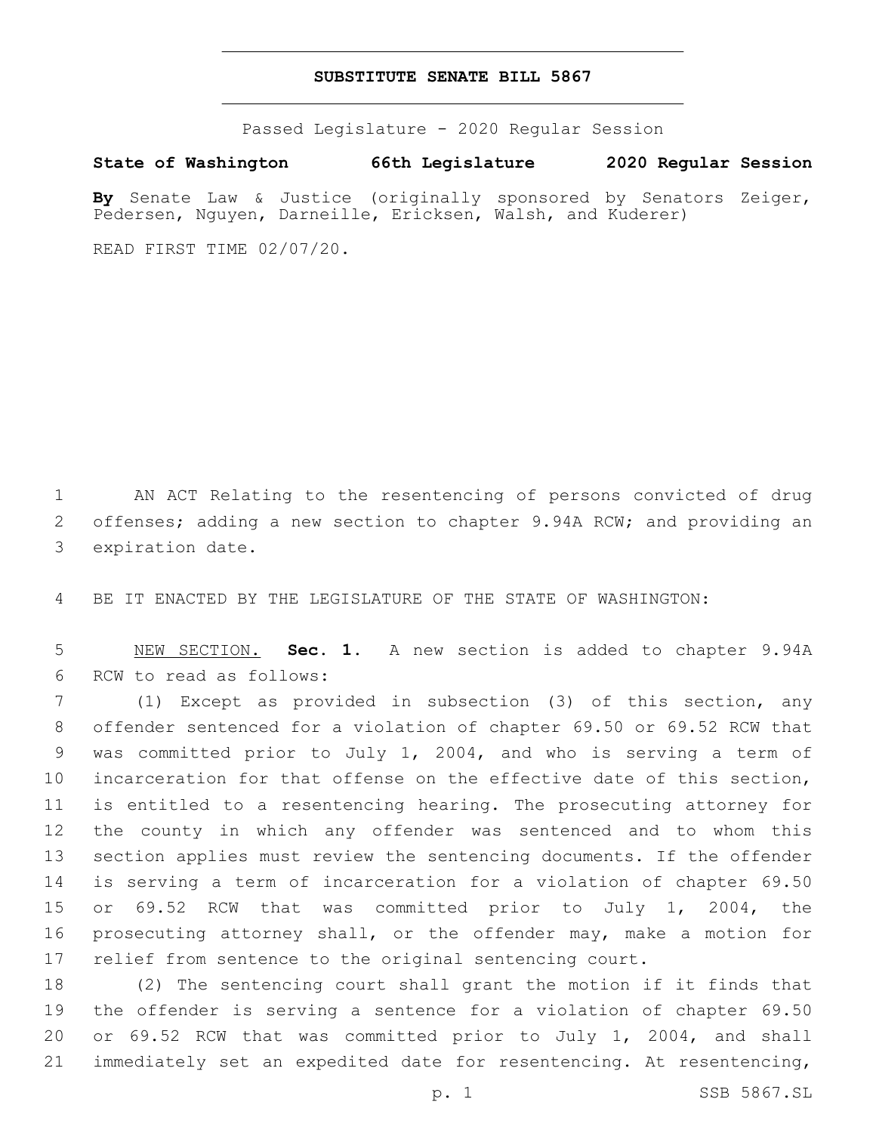### **SUBSTITUTE SENATE BILL 5867**

Passed Legislature - 2020 Regular Session

**State of Washington 66th Legislature 2020 Regular Session**

**By** Senate Law & Justice (originally sponsored by Senators Zeiger, Pedersen, Nguyen, Darneille, Ericksen, Walsh, and Kuderer)

READ FIRST TIME 02/07/20.

 AN ACT Relating to the resentencing of persons convicted of drug offenses; adding a new section to chapter 9.94A RCW; and providing an 3 expiration date.

BE IT ENACTED BY THE LEGISLATURE OF THE STATE OF WASHINGTON:

 NEW SECTION. **Sec. 1.** A new section is added to chapter 9.94A 6 RCW to read as follows:

 (1) Except as provided in subsection (3) of this section, any offender sentenced for a violation of chapter 69.50 or 69.52 RCW that was committed prior to July 1, 2004, and who is serving a term of incarceration for that offense on the effective date of this section, is entitled to a resentencing hearing. The prosecuting attorney for the county in which any offender was sentenced and to whom this section applies must review the sentencing documents. If the offender is serving a term of incarceration for a violation of chapter 69.50 or 69.52 RCW that was committed prior to July 1, 2004, the prosecuting attorney shall, or the offender may, make a motion for relief from sentence to the original sentencing court.

 (2) The sentencing court shall grant the motion if it finds that the offender is serving a sentence for a violation of chapter 69.50 or 69.52 RCW that was committed prior to July 1, 2004, and shall immediately set an expedited date for resentencing. At resentencing,